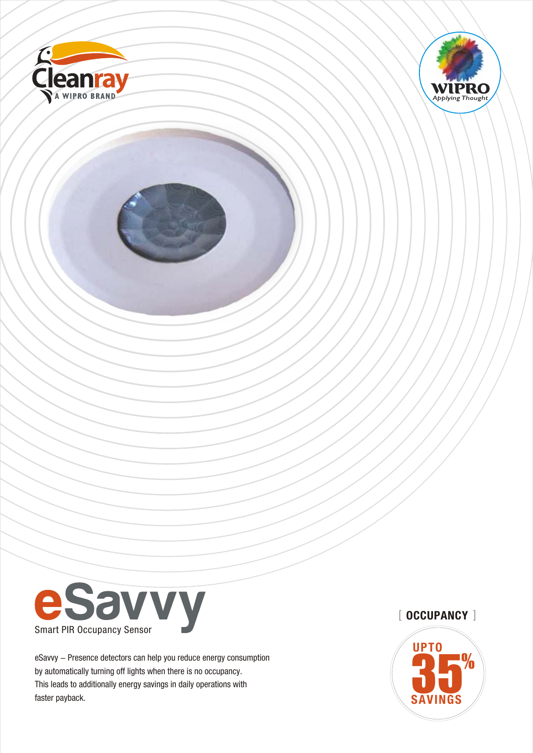





eSavvy - Presence detectors can help you reduce energy consumption by automatically turning off lights when there is no occupancy. This leads to additionally energy savings in daily operations with faster payback.

# $[$  OCCUPANCY  $]$